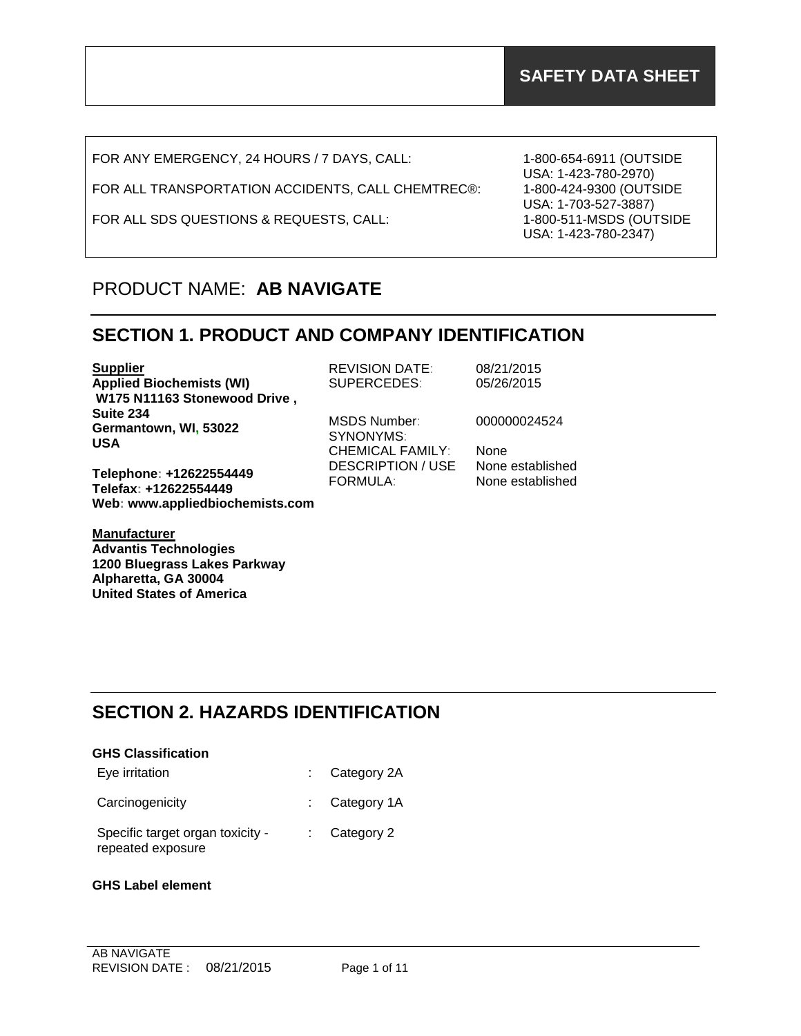FOR ANY EMERGENCY, 24 HOURS / 7 DAYS, CALL:

FOR ALL TRANSPORTATION ACCIDENTS, CALL CHEMTREC®:

FOR ALL SDS QUESTIONS & REQUESTS, CALL:

1-800-654-6911 (OUTSIDE USA: 1-423-780-2970) 1-800-424-9300 (OUTSIDE USA: 1-703-527-3887) 1-800-511-MSDS (OUTSIDE USA: 1-423-780-2347)

## PRODUCT NAME: **AB NAVIGATE**

#### **SECTION 1. PRODUCT AND COMPANY IDENTIFICATION**

| <b>Supplier</b>                 | <b>REVISION DATE:</b>                | 08/21/2015  |
|---------------------------------|--------------------------------------|-------------|
| <b>Applied Biochemists (WI)</b> | <b>SUPERCEDES:</b>                   | 05/26/2015  |
| W175 N11163 Stonewood Drive,    |                                      |             |
| Suite 234                       | MSDS Number:                         | 000000024   |
| Germantown, WI, 53022           | SYNONYMS:                            |             |
| <b>USA</b>                      | <b>CHEMICAL FAMILY:</b>              | <b>None</b> |
| Telephone: +12622554449         | <b>DESCRIPTION / USE</b><br>-------- | None estab  |

**Telephone: +12622554449 Telefax: +12622554449 Web: www.appliedbiochemists.com**

**Manufacturer Advantis Technologies 1200 Bluegrass Lakes Parkway Alpharetta, GA 30004 United States of America**

00024524

established FORMULA: None established

## **SECTION 2. HAZARDS IDENTIFICATION**

| <b>GHS Classification</b> |                          |
|---------------------------|--------------------------|
| Eve irritation            | $\therefore$ Category 2A |

Carcinogenicity : Category 1A

Specific target organ toxicity repeated exposure : Category 2

#### **GHS Label element**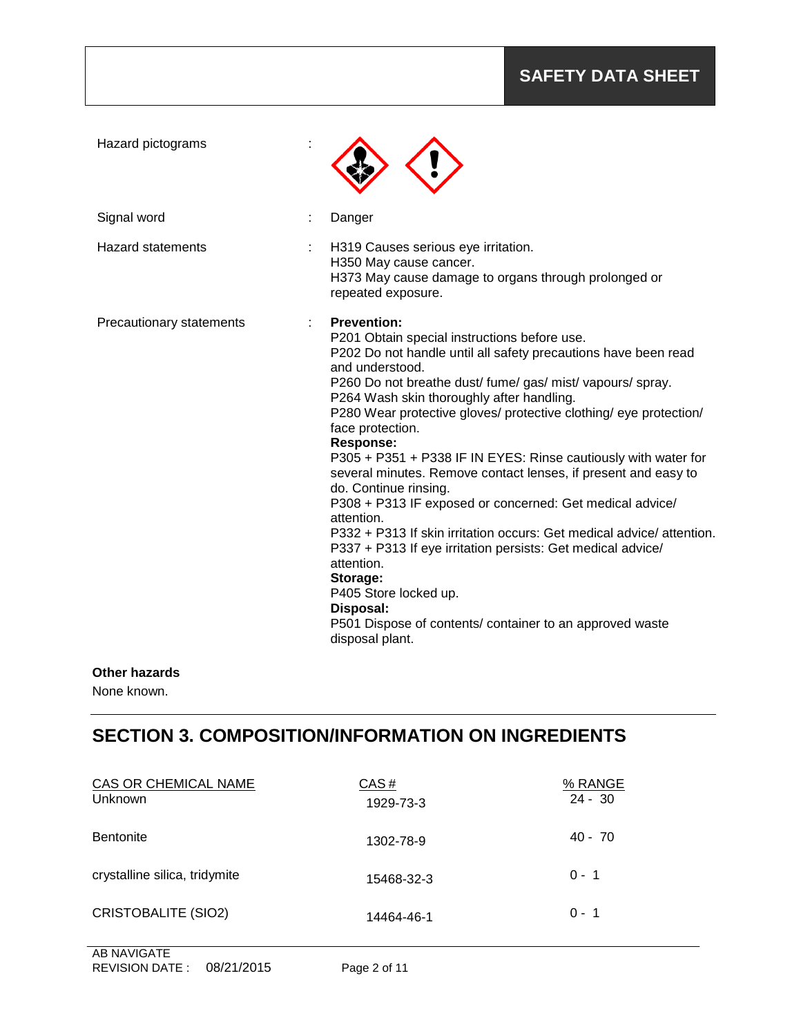### **SAFETY DATA SHEET**

| Hazard pictograms        |                                                                                                                                                                                                                                                                                                                                                                                                                                                                                                                                                                                                                                                                                                                                                                                                                                                                                                              |
|--------------------------|--------------------------------------------------------------------------------------------------------------------------------------------------------------------------------------------------------------------------------------------------------------------------------------------------------------------------------------------------------------------------------------------------------------------------------------------------------------------------------------------------------------------------------------------------------------------------------------------------------------------------------------------------------------------------------------------------------------------------------------------------------------------------------------------------------------------------------------------------------------------------------------------------------------|
| Signal word              | Danger                                                                                                                                                                                                                                                                                                                                                                                                                                                                                                                                                                                                                                                                                                                                                                                                                                                                                                       |
| <b>Hazard statements</b> | H319 Causes serious eye irritation.<br>H350 May cause cancer.<br>H373 May cause damage to organs through prolonged or<br>repeated exposure.                                                                                                                                                                                                                                                                                                                                                                                                                                                                                                                                                                                                                                                                                                                                                                  |
| Precautionary statements | <b>Prevention:</b><br>P201 Obtain special instructions before use.<br>P202 Do not handle until all safety precautions have been read<br>and understood.<br>P260 Do not breathe dust/ fume/ gas/ mist/ vapours/ spray.<br>P264 Wash skin thoroughly after handling.<br>P280 Wear protective gloves/ protective clothing/ eye protection/<br>face protection.<br><b>Response:</b><br>P305 + P351 + P338 IF IN EYES: Rinse cautiously with water for<br>several minutes. Remove contact lenses, if present and easy to<br>do. Continue rinsing.<br>P308 + P313 IF exposed or concerned: Get medical advice/<br>attention.<br>P332 + P313 If skin irritation occurs: Get medical advice/attention.<br>P337 + P313 If eye irritation persists: Get medical advice/<br>attention.<br>Storage:<br>P405 Store locked up.<br>Disposal:<br>P501 Dispose of contents/ container to an approved waste<br>disposal plant. |

#### **Other hazards**

None known.

## **SECTION 3. COMPOSITION/INFORMATION ON INGREDIENTS**

| CAS OR CHEMICAL NAME<br>Unknown | CAS#<br>1929-73-3 | % RANGE<br>$24 - 30$ |
|---------------------------------|-------------------|----------------------|
| <b>Bentonite</b>                | 1302-78-9         | $40 - 70$            |
| crystalline silica, tridymite   | 15468-32-3        | $0 - 1$              |
| <b>CRISTOBALITE (SIO2)</b>      | 14464-46-1        | $0 - 1$              |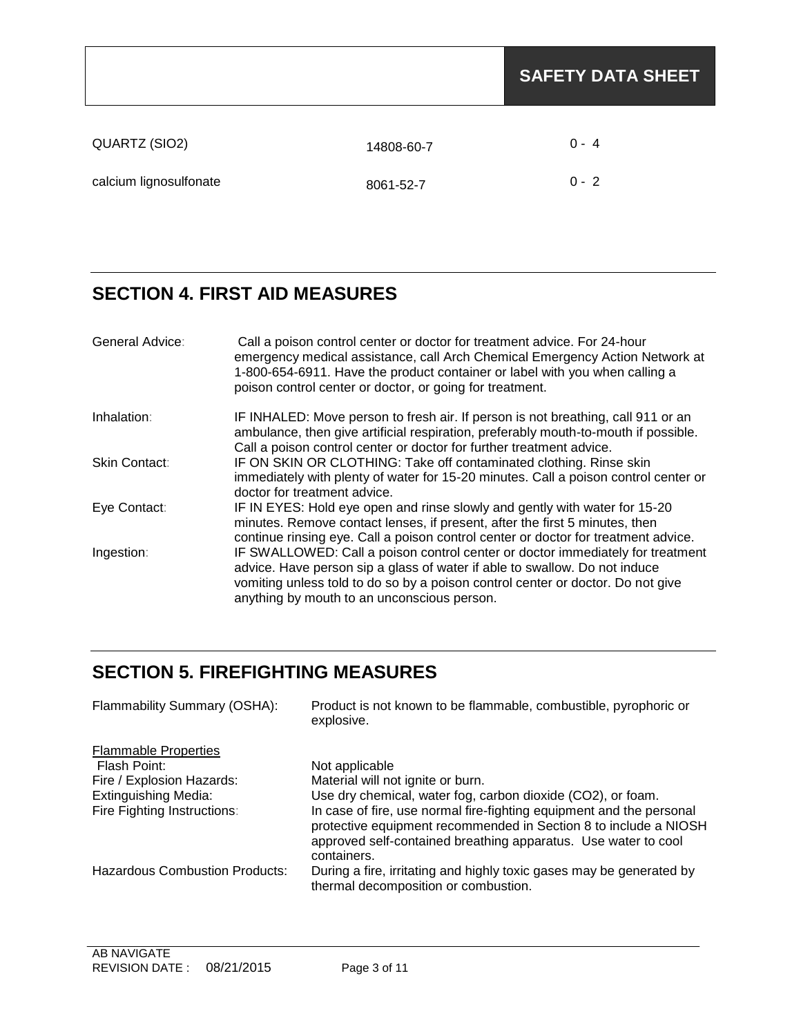|                        |            | <b>SAFETY DATA SHEET</b> |
|------------------------|------------|--------------------------|
| QUARTZ (SIO2)          | 14808-60-7 | $0 - 4$                  |
| calcium lignosulfonate | 8061-52-7  | $0 - 2$                  |

# **SECTION 4. FIRST AID MEASURES**

| General Advice: | Call a poison control center or doctor for treatment advice. For 24-hour<br>emergency medical assistance, call Arch Chemical Emergency Action Network at<br>1-800-654-6911. Have the product container or label with you when calling a<br>poison control center or doctor, or going for treatment. |
|-----------------|-----------------------------------------------------------------------------------------------------------------------------------------------------------------------------------------------------------------------------------------------------------------------------------------------------|
| Inhalation:     | IF INHALED: Move person to fresh air. If person is not breathing, call 911 or an<br>ambulance, then give artificial respiration, preferably mouth-to-mouth if possible.<br>Call a poison control center or doctor for further treatment advice.                                                     |
| Skin Contact:   | IF ON SKIN OR CLOTHING: Take off contaminated clothing. Rinse skin<br>immediately with plenty of water for 15-20 minutes. Call a poison control center or<br>doctor for treatment advice.                                                                                                           |
| Eye Contact:    | IF IN EYES: Hold eye open and rinse slowly and gently with water for 15-20<br>minutes. Remove contact lenses, if present, after the first 5 minutes, then<br>continue rinsing eye. Call a poison control center or doctor for treatment advice.                                                     |
| Ingestion:      | IF SWALLOWED: Call a poison control center or doctor immediately for treatment<br>advice. Have person sip a glass of water if able to swallow. Do not induce<br>vomiting unless told to do so by a poison control center or doctor. Do not give<br>anything by mouth to an unconscious person.      |

## **SECTION 5. FIREFIGHTING MEASURES**

| Flammability Summary (OSHA):                | Product is not known to be flammable, combustible, pyrophoric or<br>explosive.                                                                                                                                            |
|---------------------------------------------|---------------------------------------------------------------------------------------------------------------------------------------------------------------------------------------------------------------------------|
| <b>Flammable Properties</b><br>Flash Point: | Not applicable                                                                                                                                                                                                            |
| Fire / Explosion Hazards:                   | Material will not ignite or burn.                                                                                                                                                                                         |
| <b>Extinguishing Media:</b>                 | Use dry chemical, water fog, carbon dioxide (CO2), or foam.                                                                                                                                                               |
| Fire Fighting Instructions:                 | In case of fire, use normal fire-fighting equipment and the personal<br>protective equipment recommended in Section 8 to include a NIOSH<br>approved self-contained breathing apparatus. Use water to cool<br>containers. |
| <b>Hazardous Combustion Products:</b>       | During a fire, irritating and highly toxic gases may be generated by<br>thermal decomposition or combustion.                                                                                                              |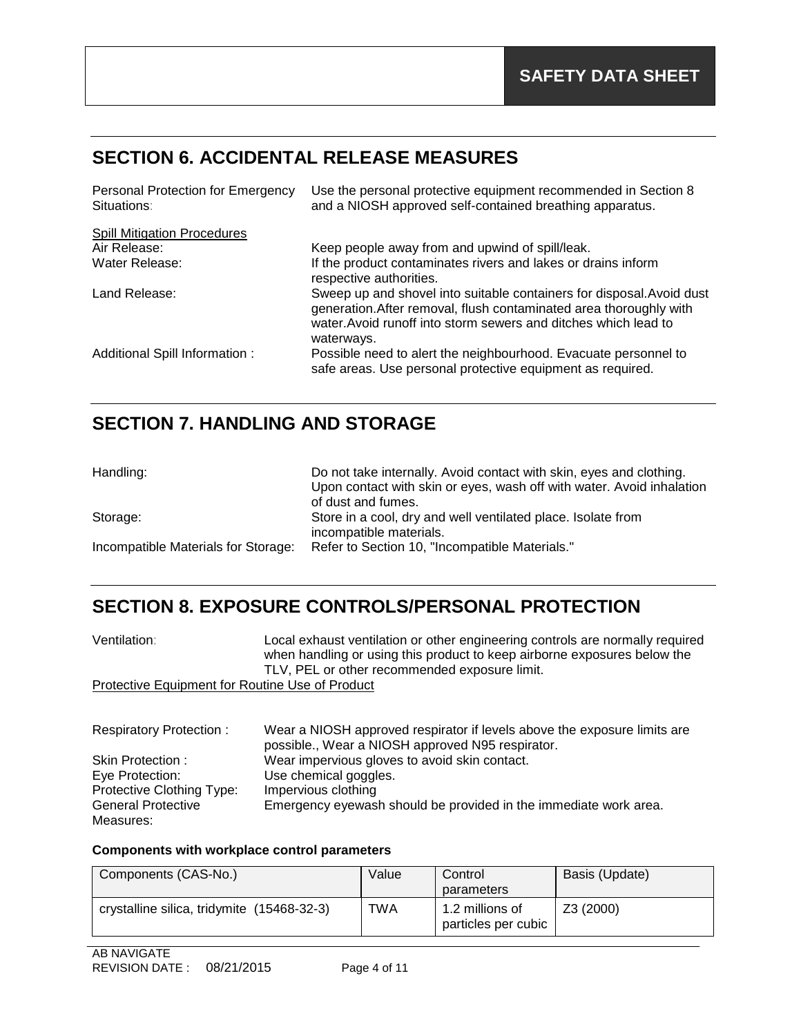# **SECTION 6. ACCIDENTAL RELEASE MEASURES**

| Personal Protection for Emergency<br>Situations: | Use the personal protective equipment recommended in Section 8<br>and a NIOSH approved self-contained breathing apparatus.                                                                                                   |
|--------------------------------------------------|------------------------------------------------------------------------------------------------------------------------------------------------------------------------------------------------------------------------------|
| <b>Spill Mitigation Procedures</b>               |                                                                                                                                                                                                                              |
| Air Release:                                     | Keep people away from and upwind of spill/leak.                                                                                                                                                                              |
| Water Release:                                   | If the product contaminates rivers and lakes or drains inform<br>respective authorities.                                                                                                                                     |
| Land Release:                                    | Sweep up and shovel into suitable containers for disposal. Avoid dust<br>generation. After removal, flush contaminated area thoroughly with<br>water. Avoid runoff into storm sewers and ditches which lead to<br>waterways. |
| Additional Spill Information:                    | Possible need to alert the neighbourhood. Evacuate personnel to<br>safe areas. Use personal protective equipment as required.                                                                                                |

## **SECTION 7. HANDLING AND STORAGE**

| Handling:                           | Do not take internally. Avoid contact with skin, eyes and clothing.<br>Upon contact with skin or eyes, wash off with water. Avoid inhalation<br>of dust and fumes. |
|-------------------------------------|--------------------------------------------------------------------------------------------------------------------------------------------------------------------|
| Storage:                            | Store in a cool, dry and well ventilated place. Isolate from<br>incompatible materials.                                                                            |
| Incompatible Materials for Storage: | Refer to Section 10, "Incompatible Materials."                                                                                                                     |
|                                     |                                                                                                                                                                    |

## **SECTION 8. EXPOSURE CONTROLS/PERSONAL PROTECTION**

| Ventilation:                                    | Local exhaust ventilation or other engineering controls are normally required<br>when handling or using this product to keep airborne exposures below the<br>TLV, PEL or other recommended exposure limit. |
|-------------------------------------------------|------------------------------------------------------------------------------------------------------------------------------------------------------------------------------------------------------------|
| Protective Equipment for Routine Use of Product |                                                                                                                                                                                                            |

| <b>Respiratory Protection:</b> | Wear a NIOSH approved respirator if levels above the exposure limits are |
|--------------------------------|--------------------------------------------------------------------------|
|                                | possible., Wear a NIOSH approved N95 respirator.                         |
| Skin Protection :              | Wear impervious gloves to avoid skin contact.                            |
| Eye Protection:                | Use chemical goggles.                                                    |
| Protective Clothing Type:      | Impervious clothing                                                      |
| General Protective             | Emergency eyewash should be provided in the immediate work area.         |
| Measures:                      |                                                                          |

#### **Components with workplace control parameters**

| Components (CAS-No.)                       | Value | Control<br>parameters                  | Basis (Update) |
|--------------------------------------------|-------|----------------------------------------|----------------|
| crystalline silica, tridymite (15468-32-3) | TWA   | 1.2 millions of<br>particles per cubic | Z3 (2000)      |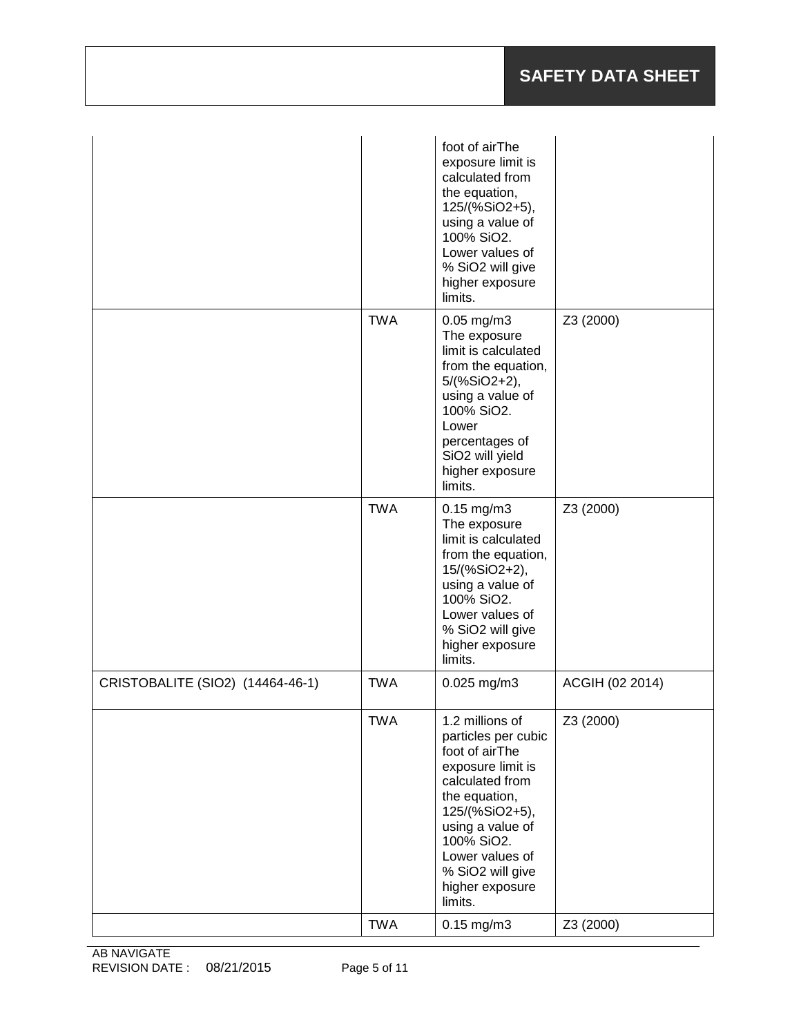|                                  |            | foot of airThe<br>exposure limit is<br>calculated from<br>the equation,<br>125/(%SiO2+5),<br>using a value of<br>100% SiO2.<br>Lower values of<br>% SiO2 will give<br>higher exposure<br>limits.                                           |                 |
|----------------------------------|------------|--------------------------------------------------------------------------------------------------------------------------------------------------------------------------------------------------------------------------------------------|-----------------|
|                                  | <b>TWA</b> | $0.05$ mg/m $3$<br>The exposure<br>limit is calculated<br>from the equation,<br>5/(%SiO2+2),<br>using a value of<br>100% SiO2.<br>Lower<br>percentages of<br>SiO2 will yield<br>higher exposure<br>limits.                                 | Z3 (2000)       |
|                                  | <b>TWA</b> | $0.15$ mg/m $3$<br>The exposure<br>limit is calculated<br>from the equation,<br>15/(%SiO2+2),<br>using a value of<br>100% SiO2.<br>Lower values of<br>% SiO2 will give<br>higher exposure<br>limits.                                       | Z3 (2000)       |
| CRISTOBALITE (SIO2) (14464-46-1) | <b>TWA</b> | $0.025$ mg/m3                                                                                                                                                                                                                              | ACGIH (02 2014) |
|                                  | <b>TWA</b> | 1.2 millions of<br>particles per cubic<br>foot of airThe<br>exposure limit is<br>calculated from<br>the equation,<br>125/(%SiO2+5),<br>using a value of<br>100% SiO2.<br>Lower values of<br>% SiO2 will give<br>higher exposure<br>limits. | Z3 (2000)       |
|                                  | <b>TWA</b> | $0.15$ mg/m $3$                                                                                                                                                                                                                            | Z3 (2000)       |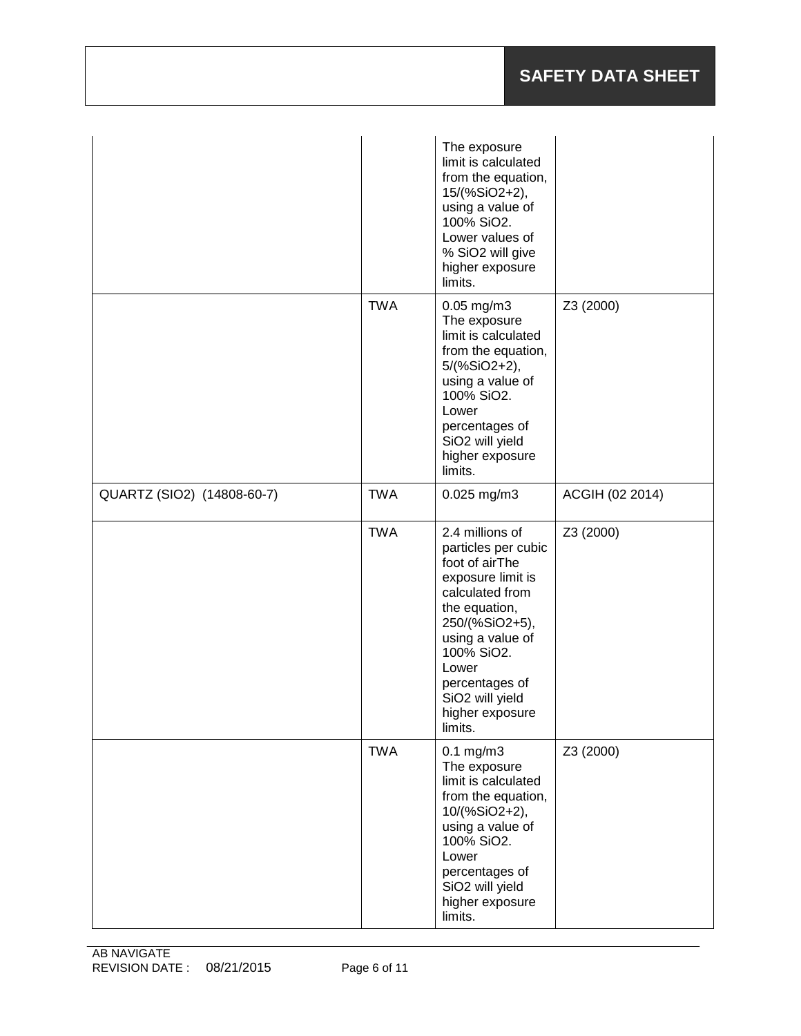|                            |            | The exposure<br>limit is calculated<br>from the equation,<br>15/(%SiO2+2),<br>using a value of<br>100% SiO2.<br>Lower values of<br>% SiO2 will give<br>higher exposure<br>limits.                                                                             |                 |
|----------------------------|------------|---------------------------------------------------------------------------------------------------------------------------------------------------------------------------------------------------------------------------------------------------------------|-----------------|
|                            | <b>TWA</b> | $0.05$ mg/m $3$<br>The exposure<br>limit is calculated<br>from the equation,<br>5/(%SiO2+2),<br>using a value of<br>100% SiO2.<br>Lower<br>percentages of<br>SiO <sub>2</sub> will yield<br>higher exposure<br>limits.                                        | Z3 (2000)       |
| QUARTZ (SIO2) (14808-60-7) | <b>TWA</b> | $0.025$ mg/m3                                                                                                                                                                                                                                                 | ACGIH (02 2014) |
|                            | <b>TWA</b> | 2.4 millions of<br>particles per cubic<br>foot of airThe<br>exposure limit is<br>calculated from<br>the equation,<br>250/(%SiO2+5),<br>using a value of<br>100% SiO2.<br>Lower<br>percentages of<br>SiO <sub>2</sub> will yield<br>higher exposure<br>limits. | Z3 (2000)       |
|                            | <b>TWA</b> | $0.1$ mg/m $3$<br>The exposure<br>limit is calculated<br>from the equation,<br>10/(%SiO2+2),<br>using a value of<br>100% SiO2.<br>Lower<br>percentages of<br>SiO2 will yield<br>higher exposure<br>limits.                                                    | Z3 (2000)       |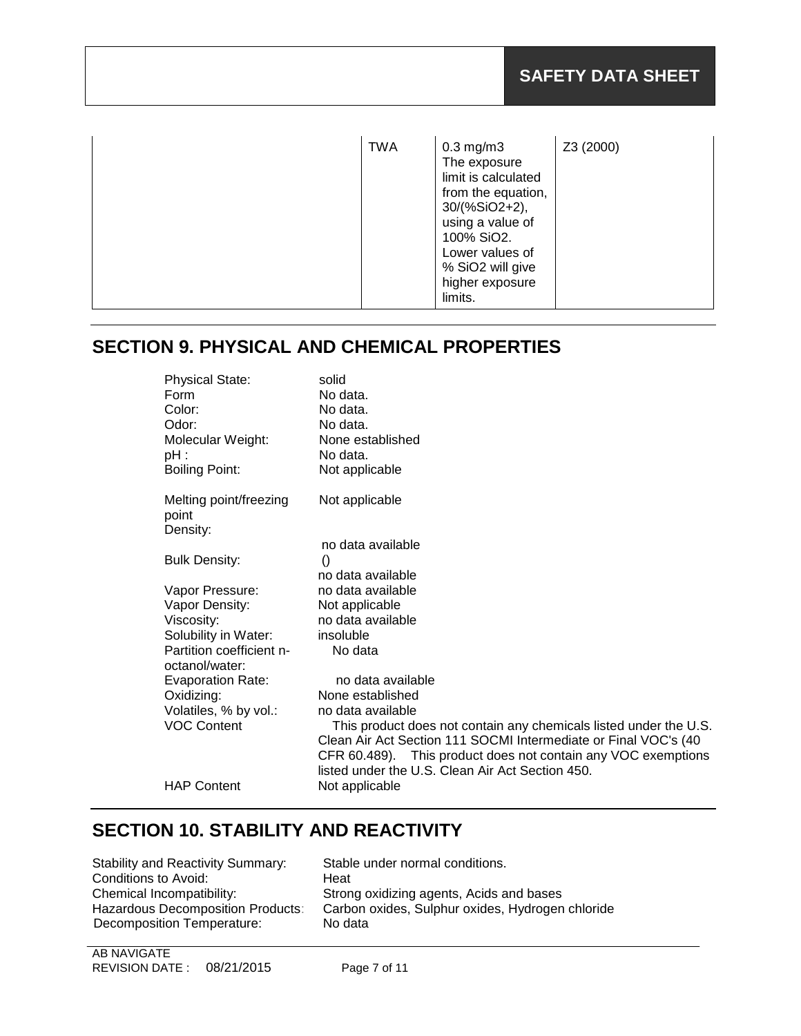| <b>TWA</b> | $0.3$ mg/m $3$<br>The exposure<br>limit is calculated<br>from the equation,<br>30/(%SiO2+2),<br>using a value of<br>100% SiO2.<br>Lower values of<br>% SiO2 will give<br>higher exposure<br>limits. | Z3 (2000) |
|------------|-----------------------------------------------------------------------------------------------------------------------------------------------------------------------------------------------------|-----------|
|------------|-----------------------------------------------------------------------------------------------------------------------------------------------------------------------------------------------------|-----------|

## **SECTION 9. PHYSICAL AND CHEMICAL PROPERTIES**

| <b>Physical State:</b>                     | solid                                                                                                                                                                                                                                                     |
|--------------------------------------------|-----------------------------------------------------------------------------------------------------------------------------------------------------------------------------------------------------------------------------------------------------------|
| Form                                       | No data.                                                                                                                                                                                                                                                  |
| Color:                                     | No data.                                                                                                                                                                                                                                                  |
| Odor:                                      | No data.                                                                                                                                                                                                                                                  |
| Molecular Weight:                          | None established                                                                                                                                                                                                                                          |
| pH :                                       | No data.                                                                                                                                                                                                                                                  |
| <b>Boiling Point:</b>                      | Not applicable                                                                                                                                                                                                                                            |
| Melting point/freezing<br>point            | Not applicable                                                                                                                                                                                                                                            |
| Density:                                   |                                                                                                                                                                                                                                                           |
|                                            | no data available                                                                                                                                                                                                                                         |
| <b>Bulk Density:</b>                       | $\left( \right)$                                                                                                                                                                                                                                          |
|                                            | no data available                                                                                                                                                                                                                                         |
| Vapor Pressure:                            | no data available                                                                                                                                                                                                                                         |
| Vapor Density:                             | Not applicable                                                                                                                                                                                                                                            |
| Viscosity:                                 | no data available                                                                                                                                                                                                                                         |
| Solubility in Water:                       | insoluble                                                                                                                                                                                                                                                 |
| Partition coefficient n-<br>octanol/water: | No data                                                                                                                                                                                                                                                   |
| <b>Evaporation Rate:</b>                   | no data available                                                                                                                                                                                                                                         |
| Oxidizing:                                 | None established                                                                                                                                                                                                                                          |
| Volatiles, % by vol.:                      | no data available                                                                                                                                                                                                                                         |
| <b>VOC Content</b>                         | This product does not contain any chemicals listed under the U.S.<br>Clean Air Act Section 111 SOCMI Intermediate or Final VOC's (40<br>CFR 60.489). This product does not contain any VOC exemptions<br>listed under the U.S. Clean Air Act Section 450. |
| <b>HAP Content</b>                         | Not applicable                                                                                                                                                                                                                                            |
|                                            |                                                                                                                                                                                                                                                           |

## **SECTION 10. STABILITY AND REACTIVITY**

| <b>Stability and Reactivity Summary:</b> |
|------------------------------------------|
| Conditions to Avoid:                     |
| Chemical Incompatibility:                |
| Hazardous Decomposition Products:        |
| Decomposition Temperature:               |
|                                          |

Stable under normal conditions. Heat Strong oxidizing agents, Acids and bases Carbon oxides, Sulphur oxides, Hydrogen chloride No data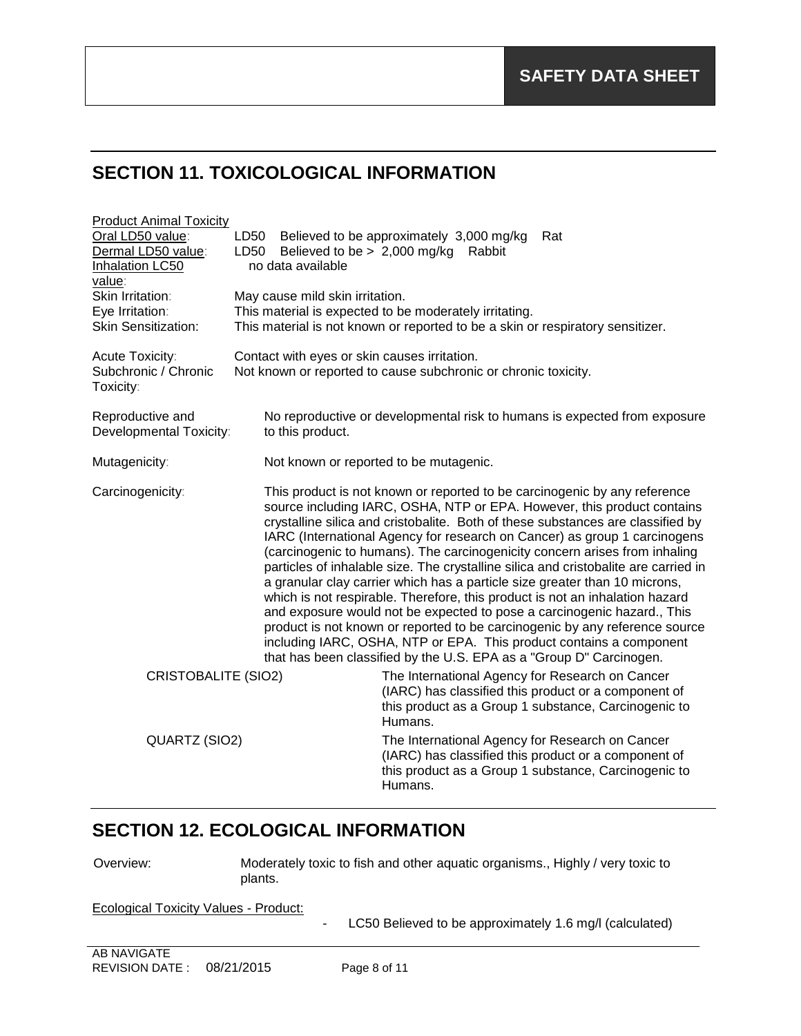# **SECTION 11. TOXICOLOGICAL INFORMATION**

| <b>Product Animal Toxicity</b>                                   |                                                                     |                                                                                                                                                                                                                                                                                                                                                                                                                                                                                                                                                |                                                                                                                                                                                                                                                                                                                                                                                                               |
|------------------------------------------------------------------|---------------------------------------------------------------------|------------------------------------------------------------------------------------------------------------------------------------------------------------------------------------------------------------------------------------------------------------------------------------------------------------------------------------------------------------------------------------------------------------------------------------------------------------------------------------------------------------------------------------------------|---------------------------------------------------------------------------------------------------------------------------------------------------------------------------------------------------------------------------------------------------------------------------------------------------------------------------------------------------------------------------------------------------------------|
| Oral LD50 value:<br>Dermal LD50 value:<br><b>Inhalation LC50</b> | LD50<br>LD50<br>Believed to be $> 2,000$ mg/kg<br>no data available | Believed to be approximately 3,000 mg/kg<br>Rabbit                                                                                                                                                                                                                                                                                                                                                                                                                                                                                             | Rat                                                                                                                                                                                                                                                                                                                                                                                                           |
| value:                                                           |                                                                     |                                                                                                                                                                                                                                                                                                                                                                                                                                                                                                                                                |                                                                                                                                                                                                                                                                                                                                                                                                               |
| Skin Irritation:                                                 | May cause mild skin irritation.                                     |                                                                                                                                                                                                                                                                                                                                                                                                                                                                                                                                                |                                                                                                                                                                                                                                                                                                                                                                                                               |
| Eye Irritation:                                                  |                                                                     | This material is expected to be moderately irritating.                                                                                                                                                                                                                                                                                                                                                                                                                                                                                         |                                                                                                                                                                                                                                                                                                                                                                                                               |
| <b>Skin Sensitization:</b>                                       |                                                                     | This material is not known or reported to be a skin or respiratory sensitizer.                                                                                                                                                                                                                                                                                                                                                                                                                                                                 |                                                                                                                                                                                                                                                                                                                                                                                                               |
| Acute Toxicity:<br>Subchronic / Chronic<br>Toxicity:             | Contact with eyes or skin causes irritation.                        | Not known or reported to cause subchronic or chronic toxicity.                                                                                                                                                                                                                                                                                                                                                                                                                                                                                 |                                                                                                                                                                                                                                                                                                                                                                                                               |
| Reproductive and<br>Developmental Toxicity:                      | to this product.                                                    |                                                                                                                                                                                                                                                                                                                                                                                                                                                                                                                                                | No reproductive or developmental risk to humans is expected from exposure                                                                                                                                                                                                                                                                                                                                     |
| Mutagenicity:                                                    |                                                                     | Not known or reported to be mutagenic.                                                                                                                                                                                                                                                                                                                                                                                                                                                                                                         |                                                                                                                                                                                                                                                                                                                                                                                                               |
| Carcinogenicity:                                                 |                                                                     | This product is not known or reported to be carcinogenic by any reference<br>(carcinogenic to humans). The carcinogenicity concern arises from inhaling<br>a granular clay carrier which has a particle size greater than 10 microns,<br>which is not respirable. Therefore, this product is not an inhalation hazard<br>and exposure would not be expected to pose a carcinogenic hazard., This<br>including IARC, OSHA, NTP or EPA. This product contains a component<br>that has been classified by the U.S. EPA as a "Group D" Carcinogen. | source including IARC, OSHA, NTP or EPA. However, this product contains<br>crystalline silica and cristobalite. Both of these substances are classified by<br>IARC (International Agency for research on Cancer) as group 1 carcinogens<br>particles of inhalable size. The crystalline silica and cristobalite are carried in<br>product is not known or reported to be carcinogenic by any reference source |
| <b>CRISTOBALITE (SIO2)</b>                                       |                                                                     | The International Agency for Research on Cancer<br>(IARC) has classified this product or a component of<br>this product as a Group 1 substance, Carcinogenic to<br>Humans.                                                                                                                                                                                                                                                                                                                                                                     |                                                                                                                                                                                                                                                                                                                                                                                                               |
| QUARTZ (SIO2)                                                    |                                                                     | The International Agency for Research on Cancer<br>(IARC) has classified this product or a component of<br>this product as a Group 1 substance, Carcinogenic to<br>Humans.                                                                                                                                                                                                                                                                                                                                                                     |                                                                                                                                                                                                                                                                                                                                                                                                               |

### **SECTION 12. ECOLOGICAL INFORMATION**

Overview: Moderately toxic to fish and other aquatic organisms., Highly / very toxic to plants.

Ecological Toxicity Values - Product:

- LC50 Believed to be approximately 1.6 mg/l (calculated)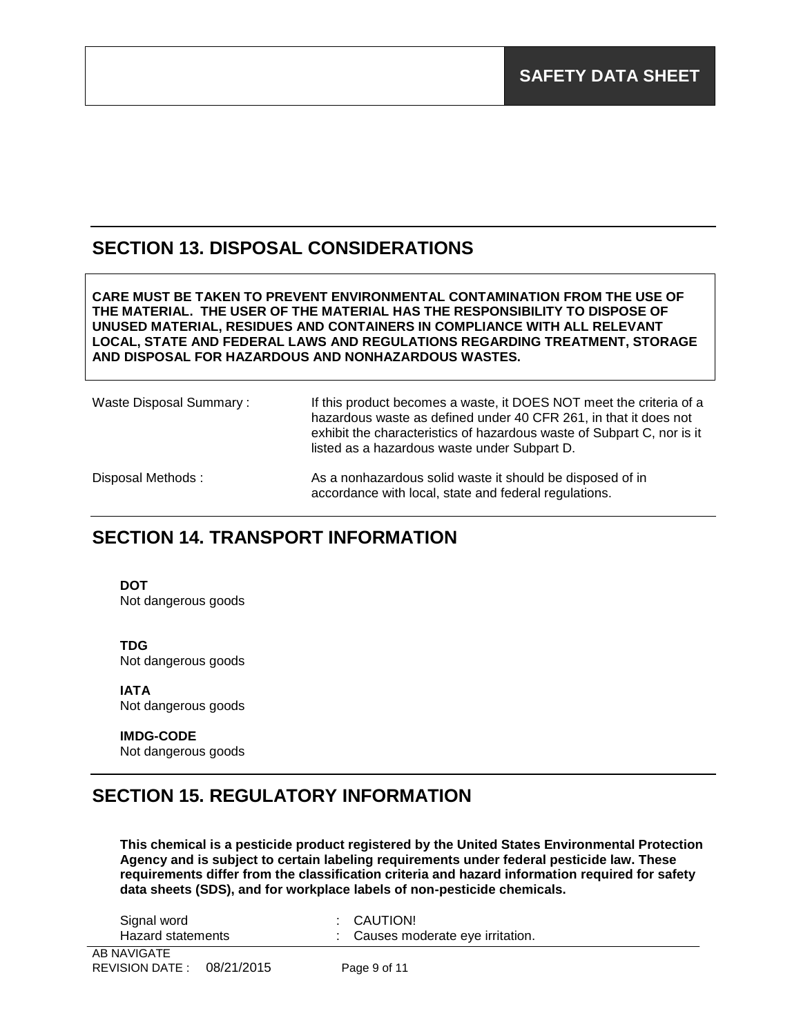#### **SECTION 13. DISPOSAL CONSIDERATIONS**

**CARE MUST BE TAKEN TO PREVENT ENVIRONMENTAL CONTAMINATION FROM THE USE OF THE MATERIAL. THE USER OF THE MATERIAL HAS THE RESPONSIBILITY TO DISPOSE OF UNUSED MATERIAL, RESIDUES AND CONTAINERS IN COMPLIANCE WITH ALL RELEVANT LOCAL, STATE AND FEDERAL LAWS AND REGULATIONS REGARDING TREATMENT, STORAGE AND DISPOSAL FOR HAZARDOUS AND NONHAZARDOUS WASTES.** 

Waste Disposal Summary: If this product becomes a waste, it DOES NOT meet the criteria of a hazardous waste as defined under 40 CFR 261, in that it does not exhibit the characteristics of hazardous waste of Subpart C, nor is it listed as a hazardous waste under Subpart D. Disposal Methods : As a nonhazardous solid waste it should be disposed of in accordance with local, state and federal regulations.

### **SECTION 14. TRANSPORT INFORMATION**

**DOT**

Not dangerous goods

**TDG** Not dangerous goods

**IATA** Not dangerous goods

**IMDG-CODE** Not dangerous goods

### **SECTION 15. REGULATORY INFORMATION**

**This chemical is a pesticide product registered by the United States Environmental Protection Agency and is subject to certain labeling requirements under federal pesticide law. These requirements differ from the classification criteria and hazard information required for safety data sheets (SDS), and for workplace labels of non-pesticide chemicals.**

| Signal word<br>Hazard statements | : CAUTION!<br>Causes moderate eye irritation. |
|----------------------------------|-----------------------------------------------|
| <b>D. N.A.V.O.A.T.P.</b>         |                                               |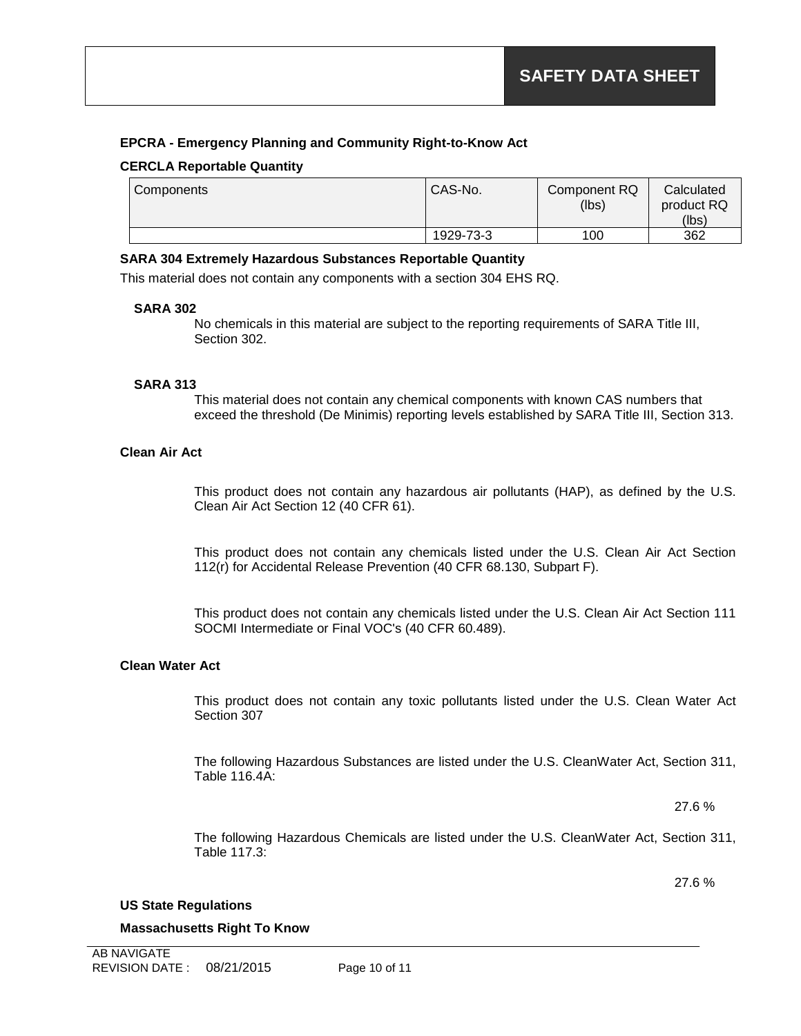#### **EPCRA - Emergency Planning and Community Right-to-Know Act**

#### **CERCLA Reportable Quantity**

| Components | CAS-No.   | Component RQ<br>(lbs) | Calculated<br>product RQ |
|------------|-----------|-----------------------|--------------------------|
|            |           |                       | (lbs)                    |
|            | 1929-73-3 | 100                   | 362                      |

#### **SARA 304 Extremely Hazardous Substances Reportable Quantity**

This material does not contain any components with a section 304 EHS RQ.

#### **SARA 302**

No chemicals in this material are subject to the reporting requirements of SARA Title III, Section 302.

#### **SARA 313**

This material does not contain any chemical components with known CAS numbers that exceed the threshold (De Minimis) reporting levels established by SARA Title III, Section 313.

#### **Clean Air Act**

This product does not contain any hazardous air pollutants (HAP), as defined by the U.S. Clean Air Act Section 12 (40 CFR 61).

This product does not contain any chemicals listed under the U.S. Clean Air Act Section 112(r) for Accidental Release Prevention (40 CFR 68.130, Subpart F).

This product does not contain any chemicals listed under the U.S. Clean Air Act Section 111 SOCMI Intermediate or Final VOC's (40 CFR 60.489).

#### **Clean Water Act**

This product does not contain any toxic pollutants listed under the U.S. Clean Water Act Section 307

The following Hazardous Substances are listed under the U.S. CleanWater Act, Section 311, Table 116.4A:

27.6 %

The following Hazardous Chemicals are listed under the U.S. CleanWater Act, Section 311, Table 117.3:

27.6 %

#### **US State Regulations**

**Massachusetts Right To Know**